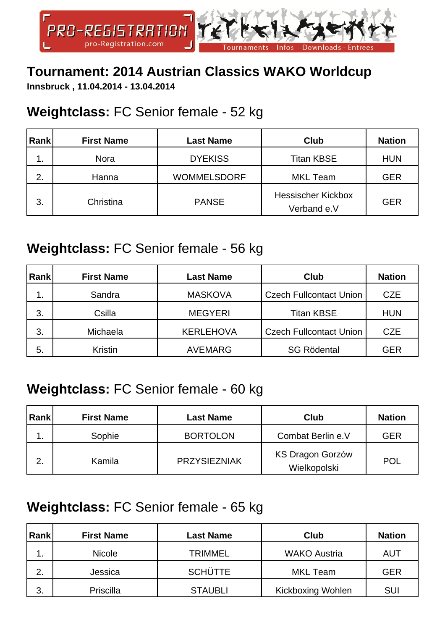

### **Tournament: 2014 Austrian Classics WAKO Worldcup**

**Innsbruck , 11.04.2014 - 13.04.2014**

### **Weightclass:** FC Senior female - 52 kg

| Rank | <b>First Name</b> | <b>Last Name</b>   | Club                                     | <b>Nation</b> |
|------|-------------------|--------------------|------------------------------------------|---------------|
| . .  | <b>Nora</b>       | <b>DYEKISS</b>     | <b>Titan KBSE</b>                        | <b>HUN</b>    |
| 2.   | Hanna             | <b>WOMMELSDORF</b> | <b>MKL Team</b>                          | <b>GER</b>    |
| 3.   | Christina         | <b>PANSE</b>       | <b>Hessischer Kickbox</b><br>Verband e.V | <b>GER</b>    |

#### **Weightclass:** FC Senior female - 56 kg

| Rank | <b>First Name</b> | <b>Last Name</b> | Club                           | <b>Nation</b> |
|------|-------------------|------------------|--------------------------------|---------------|
| 1.   | Sandra            | <b>MASKOVA</b>   | <b>Czech Fullcontact Union</b> | <b>CZE</b>    |
| 3.   | Csilla            | <b>MEGYERI</b>   | <b>Titan KBSE</b>              | <b>HUN</b>    |
| 3.   | Michaela          | <b>KERLEHOVA</b> | <b>Czech Fullcontact Union</b> | <b>CZE</b>    |
| 5.   | Kristin           | <b>AVEMARG</b>   | <b>SG Rödental</b>             | <b>GER</b>    |

### **Weightclass:** FC Senior female - 60 kg

| Rank | <b>First Name</b> | <b>Last Name</b>    | <b>Club</b>                             | <b>Nation</b> |
|------|-------------------|---------------------|-----------------------------------------|---------------|
|      | Sophie            | <b>BORTOLON</b>     | Combat Berlin e.V                       | GER           |
| 2.   | Kamila            | <b>PRZYSIEZNIAK</b> | <b>KS Dragon Gorzów</b><br>Wielkopolski | <b>POL</b>    |

### **Weightclass:** FC Senior female - 65 kg

| Rank | <b>First Name</b> | Last Name      | Club                     | <b>Nation</b> |
|------|-------------------|----------------|--------------------------|---------------|
| . .  | <b>Nicole</b>     | <b>TRIMMEL</b> | <b>WAKO Austria</b>      | <b>AUT</b>    |
| 2.   | Jessica           | <b>SCHÜTTE</b> | MKL Team                 | <b>GER</b>    |
| 3.   | Priscilla         | <b>STAUBLI</b> | <b>Kickboxing Wohlen</b> | <b>SUI</b>    |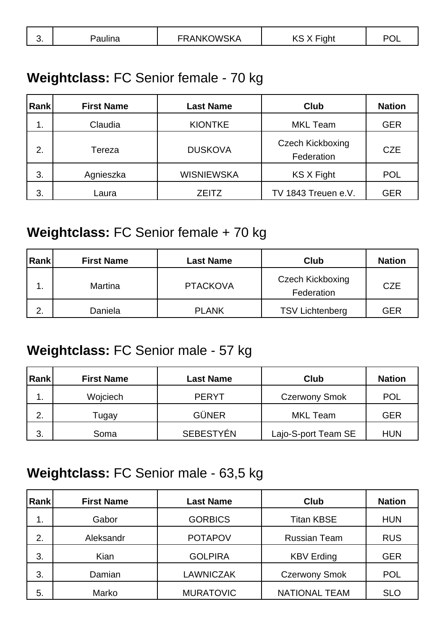| NKOWSKA<br>J.<br>_______________________ |
|------------------------------------------|
|------------------------------------------|

#### **Weightclass:** FC Senior female - 70 kg

| Rank | <b>First Name</b> | <b>Last Name</b>  | <b>Club</b>                           | <b>Nation</b> |
|------|-------------------|-------------------|---------------------------------------|---------------|
| 1.   | Claudia           | <b>KIONTKE</b>    | <b>MKL Team</b>                       | <b>GER</b>    |
| 2.   | Tereza            | <b>DUSKOVA</b>    | <b>Czech Kickboxing</b><br>Federation | <b>CZE</b>    |
| 3.   | Agnieszka         | <b>WISNIEWSKA</b> | KS X Fight                            | <b>POL</b>    |
| 3.   | Laura             | <b>ZEITZ</b>      | TV 1843 Treuen e.V.                   | GER           |

#### **Weightclass:** FC Senior female + 70 kg

| Rank    | <b>First Name</b> | <b>Last Name</b> | Club                                  | <b>Nation</b> |
|---------|-------------------|------------------|---------------------------------------|---------------|
|         | <b>Martina</b>    | <b>PTACKOVA</b>  | <b>Czech Kickboxing</b><br>Federation | <b>CZE</b>    |
| ⌒<br>۷. | Daniela           | <b>PLANK</b>     | <b>TSV Lichtenberg</b>                | GER           |

### **Weightclass:** FC Senior male - 57 kg

| Rank | <b>First Name</b> | <b>Last Name</b> | <b>Club</b>          | <b>Nation</b> |
|------|-------------------|------------------|----------------------|---------------|
| . .  | Wojciech          | <b>PERYT</b>     | <b>Czerwony Smok</b> | <b>POL</b>    |
| 2.   | Tugay             | <b>GÜNER</b>     | MKL Team             | <b>GER</b>    |
| 3.   | Soma              | <b>SEBESTYÉN</b> | Lajo-S-port Team SE  | <b>HUN</b>    |

#### **Weightclass:** FC Senior male - 63,5 kg

| <b>Rank</b> | <b>First Name</b> | <b>Last Name</b> | <b>Club</b>          | <b>Nation</b> |
|-------------|-------------------|------------------|----------------------|---------------|
| 1.          | Gabor             | <b>GORBICS</b>   | <b>Titan KBSE</b>    | <b>HUN</b>    |
| 2.          | Aleksandr         | <b>POTAPOV</b>   | <b>Russian Team</b>  | <b>RUS</b>    |
| 3.          | Kian              | <b>GOLPIRA</b>   | <b>KBV Erding</b>    | <b>GER</b>    |
| 3.          | Damian            | <b>LAWNICZAK</b> | <b>Czerwony Smok</b> | <b>POL</b>    |
| 5.          | Marko             | <b>MURATOVIC</b> | <b>NATIONAL TEAM</b> | <b>SLO</b>    |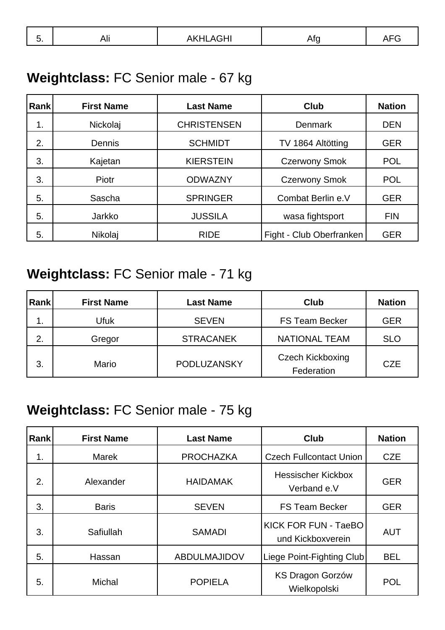|  | v. | 7 M.I | <br>the contract of the contract of the contract of the contract of the contract of the contract of the contract of |  |  |
|--|----|-------|---------------------------------------------------------------------------------------------------------------------|--|--|
|--|----|-------|---------------------------------------------------------------------------------------------------------------------|--|--|

### **Weightclass:** FC Senior male - 67 kg

| Rankl | <b>First Name</b> | <b>Last Name</b>   | <b>Club</b>              | <b>Nation</b> |
|-------|-------------------|--------------------|--------------------------|---------------|
| 1.    | Nickolaj          | <b>CHRISTENSEN</b> | <b>Denmark</b>           | <b>DEN</b>    |
| 2.    | Dennis            | <b>SCHMIDT</b>     | TV 1864 Altötting        | <b>GER</b>    |
| 3.    | Kajetan           | <b>KIERSTEIN</b>   | <b>Czerwony Smok</b>     | <b>POL</b>    |
| 3.    | Piotr             | <b>ODWAZNY</b>     | <b>Czerwony Smok</b>     | <b>POL</b>    |
| 5.    | Sascha            | <b>SPRINGER</b>    | Combat Berlin e.V        | <b>GER</b>    |
| 5.    | Jarkko            | <b>JUSSILA</b>     | wasa fightsport          | <b>FIN</b>    |
| 5.    | Nikolaj           | <b>RIDE</b>        | Fight - Club Oberfranken | <b>GER</b>    |

### **Weightclass:** FC Senior male - 71 kg

| Rank | <b>First Name</b> | Last Name        | <b>Club</b>                           | <b>Nation</b> |
|------|-------------------|------------------|---------------------------------------|---------------|
| 1.   | Ufuk              | <b>SEVEN</b>     | <b>FS Team Becker</b>                 | <b>GER</b>    |
| 2.   | Gregor            | <b>STRACANEK</b> | <b>NATIONAL TEAM</b>                  | <b>SLO</b>    |
| 3.   | Mario             | PODLUZANSKY      | <b>Czech Kickboxing</b><br>Federation | <b>CZE</b>    |

### **Weightclass:** FC Senior male - 75 kg

| <b>Rank</b> | <b>First Name</b> | <b>Last Name</b>    | <b>Club</b>                               | <b>Nation</b> |
|-------------|-------------------|---------------------|-------------------------------------------|---------------|
| 1.          | <b>Marek</b>      | <b>PROCHAZKA</b>    | <b>Czech Fullcontact Union</b>            | <b>CZE</b>    |
| 2.          | Alexander         | <b>HAIDAMAK</b>     | <b>Hessischer Kickbox</b><br>Verband e.V  | <b>GER</b>    |
| 3.          | <b>Baris</b>      | <b>SEVEN</b>        | <b>FS Team Becker</b>                     | <b>GER</b>    |
| 3.          | Safiullah         | <b>SAMADI</b>       | KICK FOR FUN - TaeBO<br>und Kickboxverein | <b>AUT</b>    |
| 5.          | Hassan            | <b>ABDULMAJIDOV</b> | Liege Point-Fighting Club                 | <b>BEL</b>    |
| 5.          | <b>Michal</b>     | <b>POPIELA</b>      | <b>KS Dragon Gorzów</b><br>Wielkopolski   | <b>POL</b>    |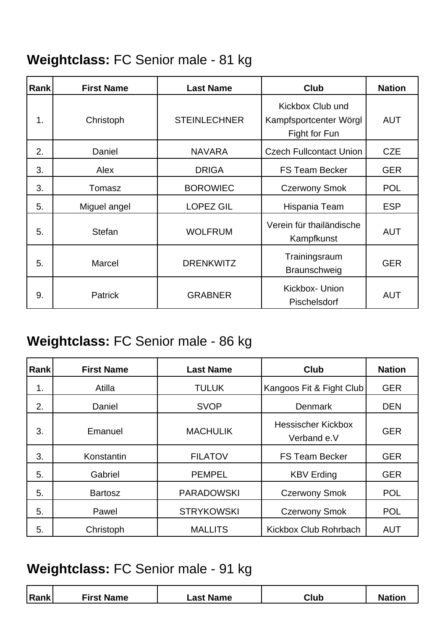### **Weightclass:** FC Senior male - 81 kg

| <b>Rank</b> | <b>First Name</b> | <b>Last Name</b>    | <b>Club</b>                                                 | <b>Nation</b> |
|-------------|-------------------|---------------------|-------------------------------------------------------------|---------------|
| 1.          | Christoph         | <b>STEINLECHNER</b> | Kickbox Club und<br>Kampfsportcenter Wörgl<br>Fight for Fun | <b>AUT</b>    |
| 2.          | Daniel            | <b>NAVARA</b>       | <b>Czech Fullcontact Union</b>                              | <b>CZE</b>    |
| 3.          | Alex              | <b>DRIGA</b>        | <b>FS Team Becker</b>                                       | <b>GER</b>    |
| 3.          | Tomasz            | <b>BOROWIEC</b>     | <b>Czerwony Smok</b>                                        | <b>POL</b>    |
| 5.          | Miguel angel      | <b>LOPEZ GIL</b>    | Hispania Team                                               | <b>ESP</b>    |
| 5.          | <b>Stefan</b>     | <b>WOLFRUM</b>      | Verein für thailändische<br>Kampfkunst                      | <b>AUT</b>    |
| 5.          | <b>Marcel</b>     | <b>DRENKWITZ</b>    | Trainingsraum<br>Braunschweig                               | <b>GER</b>    |
| 9.          | <b>Patrick</b>    | <b>GRABNER</b>      | Kickbox- Union<br>Pischelsdorf                              | <b>AUT</b>    |

### **Weightclass:** FC Senior male - 86 kg

| <b>Rank</b> | <b>First Name</b> | <b>Last Name</b>  | <b>Club</b>                              | <b>Nation</b> |
|-------------|-------------------|-------------------|------------------------------------------|---------------|
| 1.          | Atilla            | <b>TULUK</b>      | Kangoos Fit & Fight Club                 | <b>GER</b>    |
| 2.          | Daniel            | <b>SVOP</b>       | <b>Denmark</b>                           | <b>DEN</b>    |
| 3.          | Emanuel           | <b>MACHULIK</b>   | <b>Hessischer Kickbox</b><br>Verband e.V | <b>GER</b>    |
| 3.          | Konstantin        | <b>FILATOV</b>    | <b>FS Team Becker</b>                    | <b>GER</b>    |
| 5.          | Gabriel           | <b>PEMPEL</b>     | <b>KBV Erding</b>                        | <b>GER</b>    |
| 5.          | <b>Bartosz</b>    | <b>PARADOWSKI</b> | <b>Czerwony Smok</b>                     | <b>POL</b>    |
| 5.          | Pawel             | <b>STRYKOWSKI</b> | <b>Czerwony Smok</b>                     | <b>POL</b>    |
| 5.          | Christoph         | <b>MALLITS</b>    | Kickbox Club Rohrbach                    | <b>AUT</b>    |

#### **Weightclass:** FC Senior male - 91 kg

| Rank | <b>First Name</b> | Last Name | Club | <b>Nation</b> |
|------|-------------------|-----------|------|---------------|
|      |                   |           |      |               |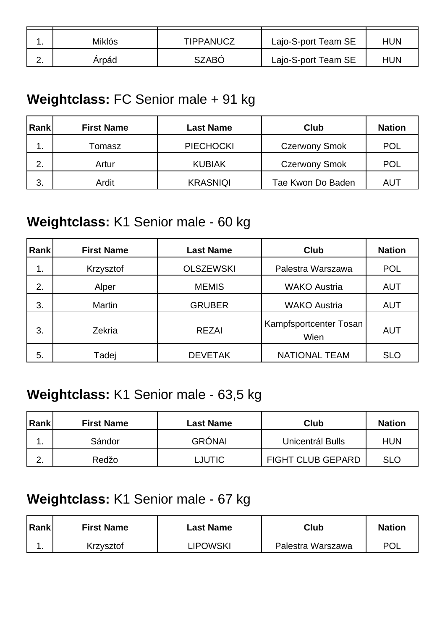|             | Miklós | TIPPANUCZ    | Lajo-S-port Team SE | HUN |
|-------------|--------|--------------|---------------------|-----|
| <u>. . </u> | Arpád  | <b>SZABO</b> | Lajo-S-port Team SE | HUN |

#### **Weightclass:** FC Senior male + 91 kg

| Rank | <b>First Name</b> | Last Name        | Club                 | <b>Nation</b> |
|------|-------------------|------------------|----------------------|---------------|
| ι.   | Tomasz            | <b>PIECHOCKI</b> | <b>Czerwony Smok</b> | <b>POL</b>    |
| 2.   | Artur             | <b>KUBIAK</b>    | <b>Czerwony Smok</b> | <b>POL</b>    |
| 3.   | Ardit             | <b>KRASNIQI</b>  | Tae Kwon Do Baden    | AUT           |

#### **Weightclass:** K1 Senior male - 60 kg

| <b>Rank</b> | <b>First Name</b> | <b>Last Name</b> | <b>Club</b>                    | <b>Nation</b> |
|-------------|-------------------|------------------|--------------------------------|---------------|
| 1.          | Krzysztof         | <b>OLSZEWSKI</b> | Palestra Warszawa              | <b>POL</b>    |
| 2.          | Alper             | <b>MEMIS</b>     | <b>WAKO Austria</b>            | <b>AUT</b>    |
| 3.          | Martin            | <b>GRUBER</b>    | <b>WAKO Austria</b>            | <b>AUT</b>    |
| 3.          | Zekria            | <b>REZAI</b>     | Kampfsportcenter Tosan<br>Wien | <b>AUT</b>    |
| 5.          | Tadej             | <b>DEVETAK</b>   | <b>NATIONAL TEAM</b>           | <b>SLO</b>    |

### **Weightclass:** K1 Senior male - 63,5 kg

| Rank        | <b>First Name</b> | Last Name     | Club                     | <b>Nation</b> |
|-------------|-------------------|---------------|--------------------------|---------------|
|             | Sándor            | <b>GRÓNAI</b> | Unicentrál Bulls         | <b>HUN</b>    |
| <u>. . </u> | Redžo             | <b>LJUTIC</b> | <b>FIGHT CLUB GEPARD</b> | <b>SLO</b>    |

### **Weightclass:** K1 Senior male - 67 kg

| Rank | <b>First Name</b> | Last Name      | Club              | <b>Nation</b> |
|------|-------------------|----------------|-------------------|---------------|
| . .  | Krzysztof         | <b>IPOWSKI</b> | Palestra Warszawa | <b>POL</b>    |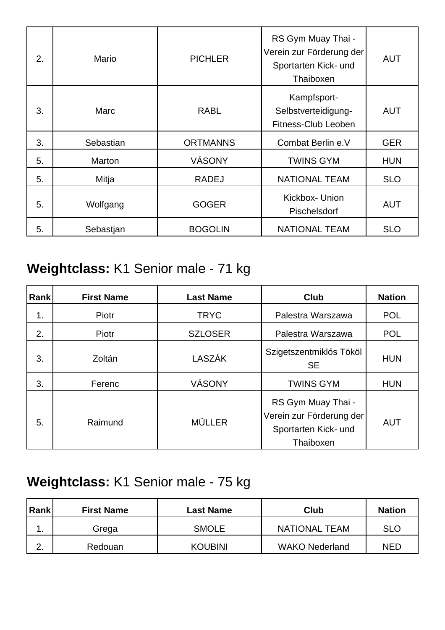| 2. | Mario     | <b>PICHLER</b>  | RS Gym Muay Thai -<br>Verein zur Förderung der<br>Sportarten Kick- und<br>Thaiboxen | <b>AUT</b> |
|----|-----------|-----------------|-------------------------------------------------------------------------------------|------------|
| 3. | Marc      | <b>RABL</b>     | Kampfsport-<br>Selbstverteidigung-<br>Fitness-Club Leoben                           | <b>AUT</b> |
| 3. | Sebastian | <b>ORTMANNS</b> | Combat Berlin e.V                                                                   | <b>GER</b> |
| 5. | Marton    | VÁSONY          | <b>TWINS GYM</b>                                                                    | <b>HUN</b> |
| 5. | Mitja     | <b>RADEJ</b>    | <b>NATIONAL TEAM</b>                                                                | <b>SLO</b> |
| 5. | Wolfgang  | <b>GOGER</b>    | Kickbox- Union<br>Pischelsdorf                                                      | <b>AUT</b> |
| 5. | Sebastjan | <b>BOGOLIN</b>  | <b>NATIONAL TEAM</b>                                                                | <b>SLO</b> |

## **Weightclass:** K1 Senior male - 71 kg

| <b>Rank</b> | <b>First Name</b> | <b>Last Name</b> | <b>Club</b>                                                                         | <b>Nation</b> |
|-------------|-------------------|------------------|-------------------------------------------------------------------------------------|---------------|
| 1.          | Piotr             | <b>TRYC</b>      | Palestra Warszawa                                                                   | <b>POL</b>    |
| 2.          | Piotr             | <b>SZLOSER</b>   | Palestra Warszawa                                                                   | <b>POL</b>    |
| 3.          | Zoltán            | <b>LASZÁK</b>    | Szigetszentmiklós Tököl<br><b>SE</b>                                                | <b>HUN</b>    |
| 3.          | Ferenc            | VÁSONY           | <b>TWINS GYM</b>                                                                    | <b>HUN</b>    |
| 5.          | Raimund           | <b>MÜLLER</b>    | RS Gym Muay Thai -<br>Verein zur Förderung der<br>Sportarten Kick- und<br>Thaiboxen | <b>AUT</b>    |

## **Weightclass:** K1 Senior male - 75 kg

| Rank             | <b>First Name</b> | Last Name      | Club                  | <b>Nation</b> |
|------------------|-------------------|----------------|-----------------------|---------------|
| . .              | Grega             | <b>SMOLE</b>   | <b>NATIONAL TEAM</b>  | <b>SLO</b>    |
| ⌒<br><u>. . </u> | Redouan           | <b>KOUBINI</b> | <b>WAKO Nederland</b> | <b>NED</b>    |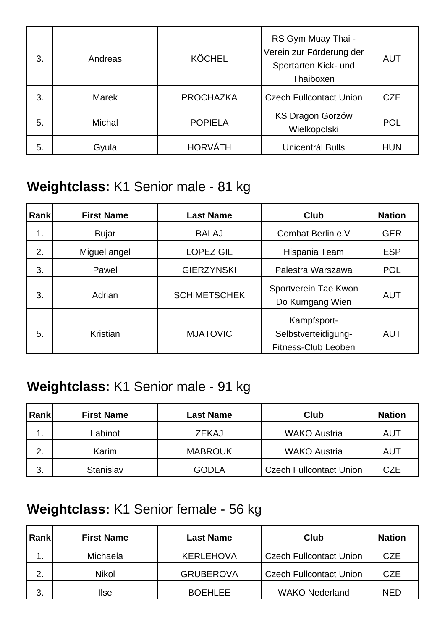| 3. | Andreas       | <b>KÖCHEL</b>    | RS Gym Muay Thai -<br>Verein zur Förderung der<br>Sportarten Kick- und<br>Thaiboxen | <b>AUT</b> |
|----|---------------|------------------|-------------------------------------------------------------------------------------|------------|
| 3. | Marek         | <b>PROCHAZKA</b> | <b>Czech Fullcontact Union</b>                                                      | <b>CZE</b> |
| 5. | <b>Michal</b> | <b>POPIELA</b>   | <b>KS Dragon Gorzów</b><br>Wielkopolski                                             | <b>POL</b> |
| 5. | Gyula         | <b>HORVÁTH</b>   | Unicentrál Bulls                                                                    | <b>HUN</b> |

### **Weightclass:** K1 Senior male - 81 kg

| Rank | <b>First Name</b> | <b>Last Name</b>    | <b>Club</b>                                               | <b>Nation</b> |
|------|-------------------|---------------------|-----------------------------------------------------------|---------------|
| 1.   | <b>Bujar</b>      | <b>BALAJ</b>        | Combat Berlin e.V                                         | <b>GER</b>    |
| 2.   | Miguel angel      | <b>LOPEZ GIL</b>    | Hispania Team                                             | <b>ESP</b>    |
| 3.   | Pawel             | <b>GIERZYNSKI</b>   | Palestra Warszawa                                         | <b>POL</b>    |
| 3.   | Adrian            | <b>SCHIMETSCHEK</b> | Sportverein Tae Kwon<br>Do Kumgang Wien                   | <b>AUT</b>    |
| 5.   | Kristian          | <b>MJATOVIC</b>     | Kampfsport-<br>Selbstverteidigung-<br>Fitness-Club Leoben | <b>AUT</b>    |

### **Weightclass:** K1 Senior male - 91 kg

| <b>Rank</b> | <b>First Name</b> | Last Name      | Club                           | <b>Nation</b> |
|-------------|-------------------|----------------|--------------------------------|---------------|
| ι.          | Labinot           | <b>ZEKAJ</b>   | <b>WAKO Austria</b>            | AUT           |
| 2.          | Karim             | <b>MABROUK</b> | <b>WAKO Austria</b>            | <b>AUT</b>    |
| 3.          | <b>Stanislav</b>  | <b>GODLA</b>   | <b>Czech Fullcontact Union</b> | CZE           |

### **Weightclass:** K1 Senior female - 56 kg

| Rank | <b>First Name</b> | Last Name        | Club                           | <b>Nation</b> |
|------|-------------------|------------------|--------------------------------|---------------|
|      | Michaela          | <b>KERLEHOVA</b> | <b>Czech Fullcontact Union</b> | <b>CZE</b>    |
| 2.   | <b>Nikol</b>      | <b>GRUBEROVA</b> | <b>Czech Fullcontact Union</b> | <b>CZE</b>    |
| 3.   | llse              | <b>BOEHLEE</b>   | <b>WAKO Nederland</b>          | <b>NED</b>    |